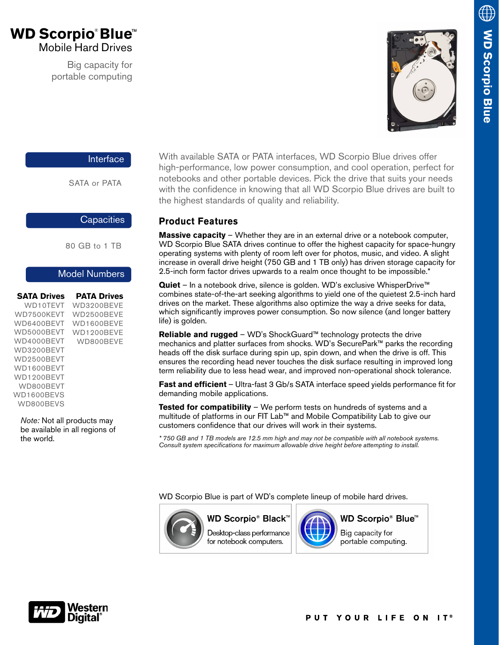# **WD Scorpio**® **Blue** ™ Mobile Hard Drives

Big capacity for portable computing



### Interface

SATA or PATA

#### **Capacities**

80 GB to 1 TB

### Model Numbers

| <b>SATA Drives</b> | <b>PATA Drives</b> |
|--------------------|--------------------|
| WD10TFVT           | WD3200BFVF         |
| WD7500KFVT         | WD2500BFVF         |
| WD6400BFVT         | WD1600BFVF         |
| WD5000BFVT         | WD1200BFVF         |
| WD4000BFVT         | WD800BFVF          |
| WD3200BFVT         |                    |
| WD2500BFVT         |                    |
| WD1600BFVT         |                    |
| WD1200BFVT         |                    |
| WD800BFVT          |                    |
| WD1600BFVS         |                    |
| <b>WD800BFVS</b>   |                    |
|                    |                    |

*Note:* Not all products may be available in all regions of the world.

With available SATA or PATA interfaces, WD Scorpio Blue drives offer high-performance, low power consumption, and cool operation, perfect for notebooks and other portable devices. Pick the drive that suits your needs with the confidence in knowing that all WD Scorpio Blue drives are built to the highest standards of quality and reliability.

# **Product Features**

**Massive capacity** – Whether they are in an external drive or a notebook computer, WD Scorpio Blue SATA drives continue to offer the highest capacity for space-hungry operating systems with plenty of room left over for photos, music, and video. A slight increase in overall drive height (750 GB and 1 TB only) has driven storage capacity for 2.5-inch form factor drives upwards to a realm once thought to be impossible.\*

**Quiet** – In a notebook drive, silence is golden. WD's exclusive WhisperDrive™ combines state-of-the-art seeking algorithms to yield one of the quietest 2.5-inch hard drives on the market. These algorithms also optimize the way a drive seeks for data, which significantly improves power consumption. So now silence (and longer battery life) is golden.

**Reliable and rugged** – WD's ShockGuard™ technology protects the drive mechanics and platter surfaces from shocks. WD's SecurePark™ parks the recording heads off the disk surface during spin up, spin down, and when the drive is off. This ensures the recording head never touches the disk surface resulting in improved long term reliability due to less head wear, and improved non-operational shock tolerance.

**Fast and efficient** – Ultra-fast 3 Gb/s SATA interface speed yields performance fit for demanding mobile applications.

**Tested for compatibility** – We perform tests on hundreds of systems and a multitude of platforms in our FIT Lab™ and Mobile Compatibility Lab to give our customers confidence that our drives will work in their systems.

*\* 750 GB and 1 TB models are 12.5 mm high and may not be compatible with all notebook systems. Consult system specifications for maximum allowable drive height before attempting to install.*

WD Scorpio Blue is part of WD's complete lineup of mobile hard drives.



**WD Scorpio® Black**' Desktop-class performance for notebook computers.



**WD Scorpio® Blue™** Big capacity for portable computing.